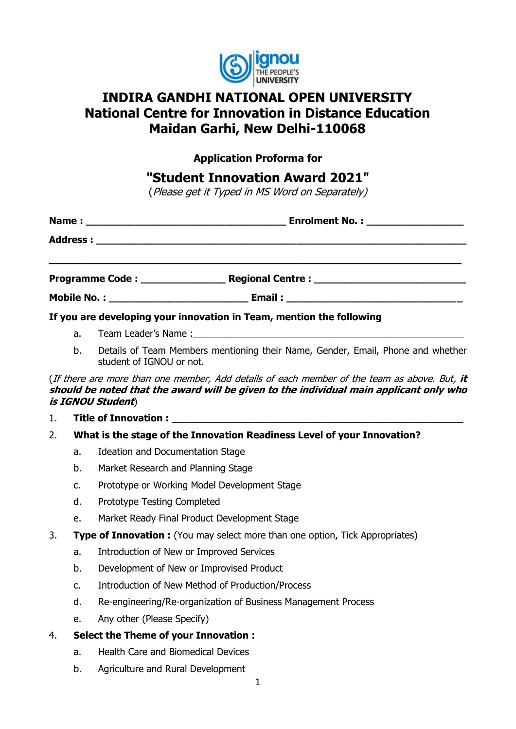

# **INDIRA GANDHI NATIONAL OPEN UNIVERSITY National Centre for Innovation in Distance Education Maidan Garhi, New Delhi-110068**

**Application Proforma for**

## **"Student Innovation Award 2021"**

(Please get it Typed in MS Word on Separately)

|    | If you are developing your innovation in Team, mention the following                                        |  |
|----|-------------------------------------------------------------------------------------------------------------|--|
| a. |                                                                                                             |  |
| b. | Details of Team Members mentioning their Name, Gender, Email, Phone and whether<br>student of IGNOU or not. |  |

(If there are more than one member, Add details of each member of the team as above. But, **it should be noted that the award will be given to the individual main applicant only who is IGNOU Student**)

- 1. **Title of Innovation :** \_\_\_\_\_\_\_\_\_\_\_\_\_\_\_\_\_\_\_\_\_\_\_\_\_\_\_\_\_\_\_\_\_\_\_\_\_\_\_\_\_\_\_\_\_\_\_\_\_\_\_\_\_\_\_\_
- 2. **What is the stage of the Innovation Readiness Level of your Innovation?**
	- a. Ideation and Documentation Stage
	- b. Market Research and Planning Stage
	- c. Prototype or Working Model Development Stage
	- d. Prototype Testing Completed
	- e. Market Ready Final Product Development Stage
- 3. **Type of Innovation :** (You may select more than one option, Tick Appropriates)
	- a. Introduction of New or Improved Services
	- b. Development of New or Improvised Product
	- c. Introduction of New Method of Production/Process
	- d. Re-engineering/Re-organization of Business Management Process
	- e. Any other (Please Specify)
- 4. **Select the Theme of your Innovation :**
	- a. Health Care and Biomedical Devices
	- b. Agriculture and Rural Development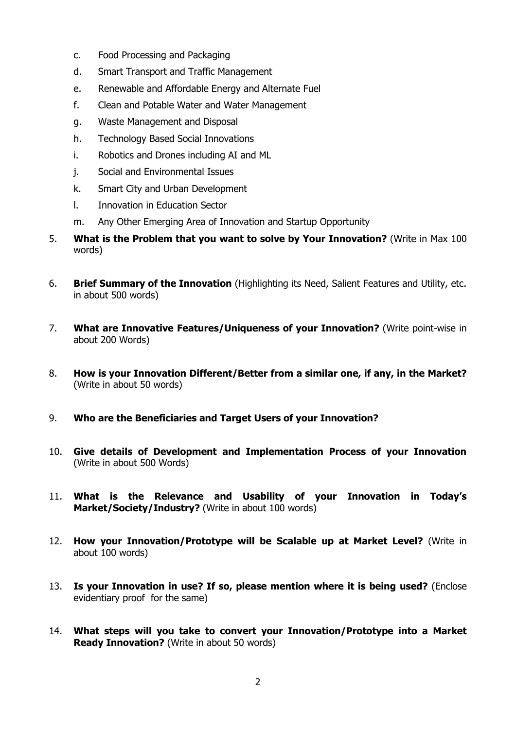- c. Food Processing and Packaging
- d. Smart Transport and Traffic Management
- e. Renewable and Affordable Energy and Alternate Fuel
- f. Clean and Potable Water and Water Management
- g. Waste Management and Disposal
- h. Technology Based Social Innovations
- i. Robotics and Drones including AI and ML
- j. Social and Environmental Issues
- k. Smart City and Urban Development
- l. Innovation in Education Sector
- m. Any Other Emerging Area of Innovation and Startup Opportunity
- 5. **What is the Problem that you want to solve by Your Innovation?** (Write in Max 100 words)
- 6. **Brief Summary of the Innovation** (Highlighting its Need, Salient Features and Utility, etc. in about 500 words)
- 7. **What are Innovative Features/Uniqueness of your Innovation?** (Write point-wise in about 200 Words)
- 8. **How is your Innovation Different/Better from a similar one, if any, in the Market?**  (Write in about 50 words)
- 9. **Who are the Beneficiaries and Target Users of your Innovation?**
- 10. **Give details of Development and Implementation Process of your Innovation**  (Write in about 500 Words)
- 11. **What is the Relevance and Usability of your Innovation in Today's**  Market/Society/Industry? (Write in about 100 words)
- 12. **How your Innovation/Prototype will be Scalable up at Market Level?** (Write in about 100 words)
- 13. **Is your Innovation in use? If so, please mention where it is being used?** (Enclose evidentiary proof for the same)
- 14. **What steps will you take to convert your Innovation/Prototype into a Market Ready Innovation?** (Write in about 50 words)